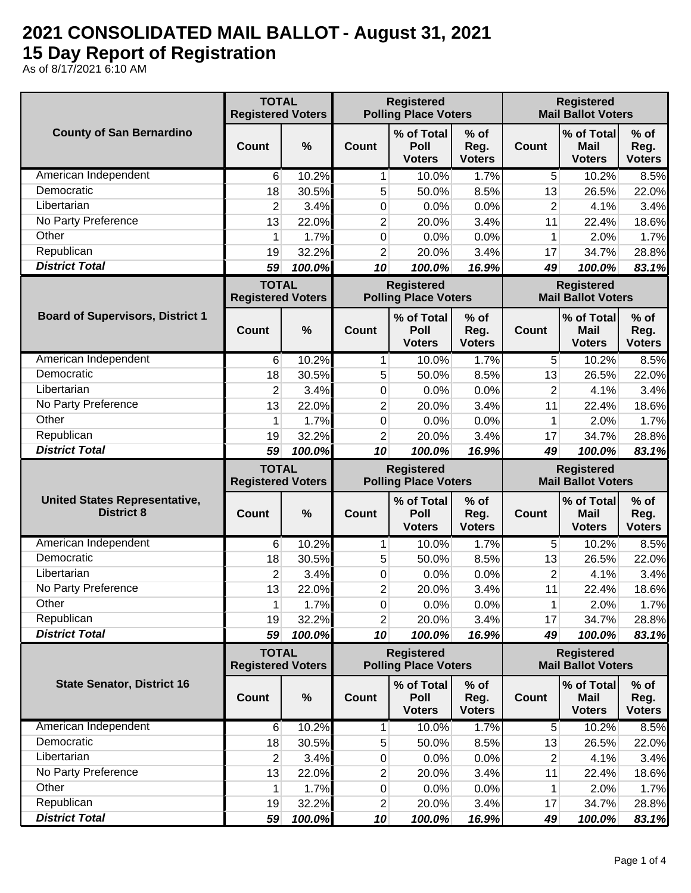## **2021 CONSOLIDATED MAIL BALLOT - August 31, 2021 15 Day Report of Registration**

As of 8/17/2021 6:10 AM

|                                                           | <b>TOTAL</b><br><b>Registered Voters</b> |                 | <b>Registered</b><br><b>Polling Place Voters</b> |                                                  |                                 | <b>Registered</b><br><b>Mail Ballot Voters</b> |                                                |                                                          |
|-----------------------------------------------------------|------------------------------------------|-----------------|--------------------------------------------------|--------------------------------------------------|---------------------------------|------------------------------------------------|------------------------------------------------|----------------------------------------------------------|
| <b>County of San Bernardino</b>                           | Count                                    | $\%$            | <b>Count</b>                                     | % of Total<br>Poll<br><b>Voters</b>              | $%$ of<br>Reg.<br><b>Voters</b> | Count                                          | % of Total<br><b>Mail</b><br><b>Voters</b>     | $%$ of<br>Reg.<br><b>Voters</b>                          |
| American Independent                                      | 6                                        | 10.2%           | 1                                                | 10.0%                                            | 1.7%                            | 5                                              | 10.2%                                          | 8.5%                                                     |
| Democratic                                                | 18                                       | 30.5%           | 5                                                | 50.0%                                            | 8.5%                            | 13                                             | 26.5%                                          | 22.0%                                                    |
| Libertarian                                               | $\overline{2}$                           | 3.4%            | 0                                                | 0.0%                                             | 0.0%                            | $\overline{2}$                                 | 4.1%                                           | 3.4%                                                     |
| No Party Preference                                       | 13                                       | 22.0%           | 2                                                | 20.0%                                            | 3.4%                            | 11                                             | 22.4%                                          | 18.6%                                                    |
| Other                                                     | 1                                        | 1.7%            | 0                                                | 0.0%                                             | 0.0%                            | 1                                              | 2.0%                                           | 1.7%                                                     |
| Republican                                                | 19                                       | 32.2%           | $\overline{c}$                                   | 20.0%                                            | 3.4%                            | 17                                             | 34.7%                                          | 28.8%                                                    |
| <b>District Total</b>                                     | 59                                       | 100.0%          | 10                                               | 100.0%                                           | 16.9%                           | 49                                             | 100.0%                                         | 83.1%                                                    |
|                                                           | <b>TOTAL</b><br><b>Registered Voters</b> |                 | <b>Registered</b><br><b>Polling Place Voters</b> |                                                  |                                 | <b>Registered</b><br><b>Mail Ballot Voters</b> |                                                |                                                          |
| <b>Board of Supervisors, District 1</b>                   | Count                                    | %               | Count                                            | % of Total<br>Poll<br><b>Voters</b>              | % of<br>Reg.<br><b>Voters</b>   | <b>Count</b>                                   | % of Total<br><b>Mail</b><br><b>Voters</b>     | $%$ of<br>Reg.<br><b>Voters</b>                          |
| American Independent                                      | 6                                        | 10.2%           | 1                                                | 10.0%                                            | 1.7%                            | 5                                              | 10.2%                                          | 8.5%                                                     |
| Democratic                                                | 18                                       | 30.5%           | 5                                                | 50.0%                                            | 8.5%                            | 13                                             | 26.5%                                          | 22.0%                                                    |
| Libertarian                                               | $\overline{2}$                           | 3.4%            | 0                                                | 0.0%                                             | 0.0%                            | $\overline{2}$                                 | 4.1%                                           | 3.4%                                                     |
| No Party Preference                                       | 13                                       | 22.0%           | $\overline{2}$                                   | 20.0%                                            | 3.4%                            | 11                                             | 22.4%                                          | 18.6%                                                    |
| Other                                                     | 1                                        | 1.7%            | 0                                                | 0.0%                                             | 0.0%                            | 1                                              | 2.0%                                           | 1.7%                                                     |
| Republican                                                | 19                                       | 32.2%           | $\overline{2}$                                   | 20.0%                                            | 3.4%                            | 17                                             | 34.7%                                          | 28.8%                                                    |
| <b>District Total</b>                                     | 59                                       | 100.0%          | 10                                               | 100.0%                                           | 16.9%                           | 49                                             | 100.0%                                         | 83.1%                                                    |
|                                                           | <b>TOTAL</b><br><b>Registered Voters</b> |                 | <b>Registered</b><br><b>Polling Place Voters</b> |                                                  |                                 | <b>Registered</b><br><b>Mail Ballot Voters</b> |                                                |                                                          |
|                                                           |                                          |                 |                                                  |                                                  |                                 |                                                |                                                |                                                          |
| <b>United States Representative,</b><br><b>District 8</b> | Count                                    | %               | Count                                            | % of Total<br><b>Poll</b><br><b>Voters</b>       | % of<br>Reg.<br><b>Voters</b>   | Count                                          | % of Total<br><b>Mail</b><br><b>Voters</b>     | $%$ of<br>Reg.<br><b>Voters</b>                          |
| American Independent                                      | 6                                        | 10.2%           | 1                                                | 10.0%                                            | 1.7%                            | 5                                              | 10.2%                                          |                                                          |
| Democratic                                                | 18                                       | 30.5%           | 5                                                | 50.0%                                            | 8.5%                            | 13                                             | 26.5%                                          |                                                          |
| Libertarian                                               | $\overline{2}$                           | 3.4%            | 0                                                | 0.0%                                             | 0.0%                            | $\overline{2}$                                 | 4.1%                                           |                                                          |
| No Party Preference                                       | 13                                       | 22.0%           | $\overline{2}$                                   | 20.0%                                            | 3.4%                            | 11                                             | 22.4%                                          |                                                          |
| Other                                                     | 1                                        | 1.7%            | $\pmb{0}$                                        | 0.0%                                             | 0.0%                            | 1                                              | 2.0%                                           |                                                          |
| Republican                                                | 19                                       | 32.2%           | 2                                                | 20.0%                                            | 3.4%                            | 17                                             | 34.7%                                          |                                                          |
| <b>District Total</b>                                     | 59                                       | 100.0%          | 10                                               | 100.0%                                           | 16.9%                           | 49                                             | 100.0%                                         | 8.5%<br>22.0%<br>3.4%<br>18.6%<br>1.7%<br>28.8%<br>83.1% |
|                                                           | <b>TOTAL</b><br><b>Registered Voters</b> |                 |                                                  | <b>Registered</b><br><b>Polling Place Voters</b> |                                 |                                                | <b>Registered</b><br><b>Mail Ballot Voters</b> |                                                          |
| <b>State Senator, District 16</b>                         | <b>Count</b>                             | $\%$            | Count                                            | % of Total<br>Poll<br><b>Voters</b>              | $%$ of<br>Reg.<br><b>Voters</b> | Count                                          | % of Total<br><b>Mail</b><br><b>Voters</b>     | $%$ of<br>Reg.<br><b>Voters</b>                          |
| American Independent                                      | 6                                        | 10.2%           | $\mathbf{1}$                                     | 10.0%                                            | 1.7%                            | $\sqrt{5}$                                     | 10.2%                                          | 8.5%                                                     |
| Democratic                                                | 18                                       | 30.5%           | 5                                                | 50.0%                                            | 8.5%                            | 13                                             | 26.5%                                          | 22.0%                                                    |
| Libertarian                                               | 2                                        | 3.4%            | 0                                                | 0.0%                                             | 0.0%                            | 2                                              | 4.1%                                           | 3.4%                                                     |
| No Party Preference                                       | 13                                       | 22.0%           | 2                                                | 20.0%                                            | 3.4%                            | 11                                             | 22.4%                                          | 18.6%                                                    |
| Other                                                     | 1                                        | 1.7%            | $\overline{0}$                                   | 0.0%                                             | 0.0%                            | 1                                              | 2.0%                                           | 1.7%                                                     |
| Republican<br><b>District Total</b>                       | 19<br>59                                 | 32.2%<br>100.0% | $\overline{2}$<br>10                             | 20.0%<br>100.0%                                  | 3.4%<br>16.9%                   | 17<br>49                                       | 34.7%<br>100.0%                                | 28.8%<br>83.1%                                           |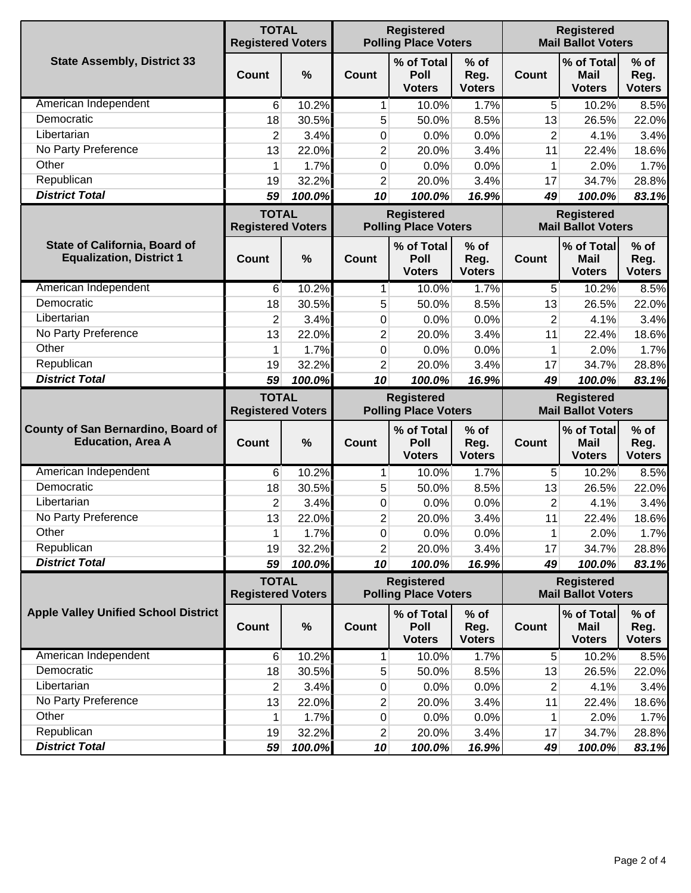|                                                                         | <b>TOTAL</b><br><b>Registered Voters</b> |               | <b>Registered</b><br><b>Polling Place Voters</b> |                                                  |                                 | <b>Registered</b><br><b>Mail Ballot Voters</b> |                                                |                                                                                             |
|-------------------------------------------------------------------------|------------------------------------------|---------------|--------------------------------------------------|--------------------------------------------------|---------------------------------|------------------------------------------------|------------------------------------------------|---------------------------------------------------------------------------------------------|
| <b>State Assembly, District 33</b>                                      | Count                                    | $\frac{0}{0}$ | Count                                            | % of Total<br>Poll<br><b>Voters</b>              | % of<br>Reg.<br><b>Voters</b>   | <b>Count</b>                                   | % of Total<br><b>Mail</b><br><b>Voters</b>     | $%$ of<br>Reg.<br><b>Voters</b>                                                             |
| American Independent                                                    | 6                                        | 10.2%         | 1                                                | 10.0%                                            | 1.7%                            | 5                                              | 10.2%                                          | 8.5%                                                                                        |
| Democratic                                                              | 18                                       | 30.5%         | 5                                                | 50.0%                                            | 8.5%                            | 13                                             | 26.5%                                          | 22.0%                                                                                       |
| Libertarian                                                             | 2                                        | 3.4%          | 0                                                | 0.0%                                             | 0.0%                            | $\overline{2}$                                 | 4.1%                                           | 3.4%                                                                                        |
| No Party Preference                                                     | 13                                       | 22.0%         | 2                                                | 20.0%                                            | 3.4%                            | 11                                             | 22.4%                                          | 18.6%                                                                                       |
| Other                                                                   | 1                                        | 1.7%          | 0                                                | 0.0%                                             | 0.0%                            | 1                                              | 2.0%                                           | 1.7%                                                                                        |
| Republican                                                              | 19                                       | 32.2%         | 2                                                | 20.0%                                            | 3.4%                            | 17                                             | 34.7%                                          | 28.8%                                                                                       |
| <b>District Total</b>                                                   | 59                                       | 100.0%        | 10                                               | 100.0%                                           | 16.9%                           | 49                                             | 100.0%                                         | 83.1%                                                                                       |
|                                                                         | <b>TOTAL</b><br><b>Registered Voters</b> |               | <b>Registered</b><br><b>Polling Place Voters</b> |                                                  |                                 |                                                | <b>Registered</b><br><b>Mail Ballot Voters</b> |                                                                                             |
| <b>State of California, Board of</b><br><b>Equalization, District 1</b> | <b>Count</b>                             | $\frac{0}{0}$ | Count                                            | % of Total<br>Poll<br><b>Voters</b>              | % of<br>Reg.<br><b>Voters</b>   | Count                                          | % of Total<br><b>Mail</b><br><b>Voters</b>     | $%$ of<br>Reg.<br><b>Voters</b>                                                             |
| American Independent                                                    | 6                                        | 10.2%         | 1                                                | 10.0%                                            | 1.7%                            | 5                                              | 10.2%                                          | 8.5%                                                                                        |
| Democratic                                                              | 18                                       | 30.5%         | 5                                                | 50.0%                                            | 8.5%                            | 13                                             | 26.5%                                          | 22.0%                                                                                       |
| Libertarian                                                             | $\overline{2}$                           | 3.4%          | 0                                                | 0.0%                                             | 0.0%                            | $\overline{2}$                                 | 4.1%                                           | 3.4%                                                                                        |
| No Party Preference                                                     | 13                                       | 22.0%         | $\overline{c}$                                   | 20.0%                                            | 3.4%                            | 11                                             | 22.4%                                          | 18.6%                                                                                       |
| Other                                                                   | 1                                        | 1.7%          | 0                                                | 0.0%                                             | 0.0%                            | 1                                              | 2.0%                                           | 1.7%                                                                                        |
| Republican                                                              | 19                                       | 32.2%         | $\overline{2}$                                   | 20.0%                                            | 3.4%                            | 17                                             | 34.7%                                          | 28.8%                                                                                       |
| <b>District Total</b>                                                   | 59                                       | 100.0%        | 10                                               | 100.0%                                           | 16.9%                           | 49                                             | 100.0%                                         | 83.1%                                                                                       |
|                                                                         | <b>TOTAL</b><br><b>Registered Voters</b> |               |                                                  |                                                  |                                 |                                                |                                                |                                                                                             |
|                                                                         |                                          |               |                                                  | <b>Registered</b><br><b>Polling Place Voters</b> |                                 |                                                | <b>Registered</b><br><b>Mail Ballot Voters</b> |                                                                                             |
| County of San Bernardino, Board of<br><b>Education, Area A</b>          | <b>Count</b>                             | $\frac{0}{0}$ | Count                                            | % of Total<br>Poll<br><b>Voters</b>              | $%$ of<br>Reg.<br><b>Voters</b> | Count                                          | % of Total<br><b>Mail</b><br><b>Voters</b>     | $%$ of<br>Reg.<br><b>Voters</b>                                                             |
| American Independent                                                    | $6 \mid$                                 | 10.2%         | $\mathbf{1}$                                     | 10.0%                                            | 1.7%                            | 5                                              | 10.2%                                          | 8.5%                                                                                        |
| Democratic                                                              | 18                                       | 30.5%         | 5                                                | 50.0%                                            | 8.5%                            | 13                                             | 26.5%                                          | 22.0%                                                                                       |
| Libertarian                                                             | $\overline{2}$                           | 3.4%          | 0                                                | 0.0%                                             | 0.0%                            | $\overline{2}$                                 | 4.1%                                           |                                                                                             |
| No Party Preference                                                     | 13                                       | 22.0%         | $\overline{2}$                                   | 20.0%                                            | 3.4%                            | 11                                             | 22.4%                                          |                                                                                             |
| Other                                                                   | 1                                        | 1.7%          | $\overline{0}$                                   | 0.0%                                             | 0.0%                            | 1                                              | 2.0%                                           | 3.4%                                                                                        |
| Republican                                                              | 19                                       | 32.2%         | 2                                                | 20.0%                                            | 3.4%                            | 17                                             | 34.7%                                          |                                                                                             |
| <b>District Total</b>                                                   | 59                                       | 100.0%        | 10                                               | 100.0%                                           | 16.9%                           | 49                                             | 100.0%                                         |                                                                                             |
|                                                                         | <b>TOTAL</b><br><b>Registered Voters</b> |               |                                                  | <b>Registered</b><br><b>Polling Place Voters</b> |                                 |                                                | <b>Registered</b><br><b>Mail Ballot Voters</b> |                                                                                             |
| <b>Apple Valley Unified School District</b>                             | <b>Count</b>                             | $\%$          | Count                                            | % of Total<br>Poll<br><b>Voters</b>              | $%$ of<br>Reg.<br><b>Voters</b> | <b>Count</b>                                   | % of Total<br><b>Mail</b><br><b>Voters</b>     | $%$ of<br>Reg.<br><b>Voters</b>                                                             |
| American Independent                                                    | 6                                        | 10.2%         | 1                                                | 10.0%                                            | 1.7%                            | 5                                              | 10.2%                                          |                                                                                             |
| Democratic                                                              | 18                                       | 30.5%         | 5                                                | 50.0%                                            | 8.5%                            | 13                                             | 26.5%                                          |                                                                                             |
| Libertarian                                                             | $\overline{\mathbf{c}}$                  | 3.4%          | 0                                                | 0.0%                                             | 0.0%                            | $\overline{2}$                                 | 4.1%                                           |                                                                                             |
| No Party Preference                                                     | 13                                       | 22.0%         | 2                                                | 20.0%                                            | 3.4%                            | 11                                             | 22.4%                                          |                                                                                             |
| Other                                                                   | 1                                        | 1.7%          | 0                                                | 0.0%                                             | 0.0%                            | 1                                              | 2.0%                                           |                                                                                             |
| Republican<br><b>District Total</b>                                     | 19                                       | 32.2%         | 2                                                | 20.0%                                            | 3.4%                            | 17                                             | 34.7%                                          | 18.6%<br>1.7%<br>28.8%<br>83.1%<br>8.5%<br>22.0%<br>3.4%<br>18.6%<br>1.7%<br>28.8%<br>83.1% |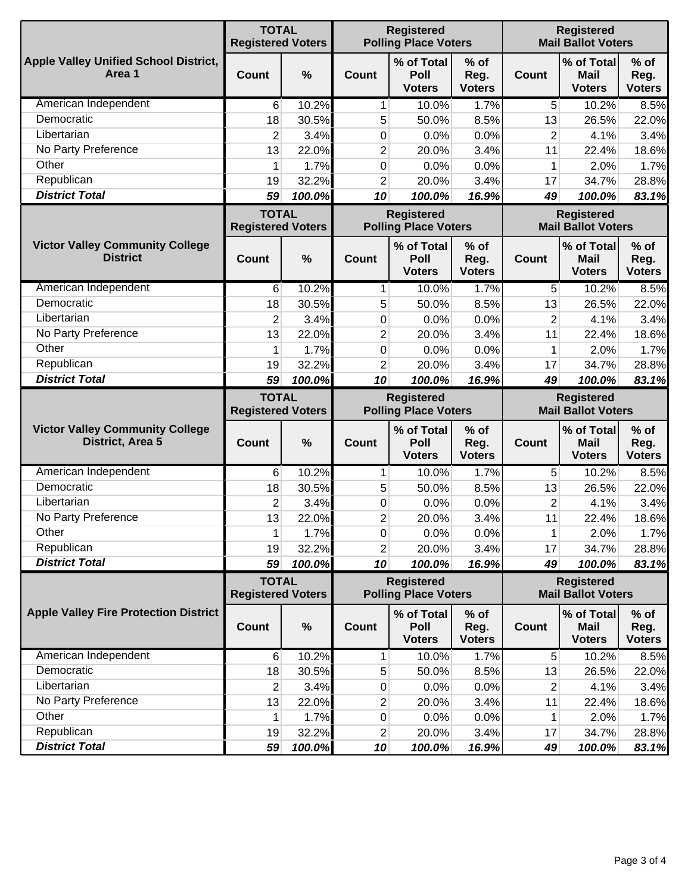|                                                            | <b>TOTAL</b><br><b>Registered Voters</b> |               | <b>Registered</b><br><b>Polling Place Voters</b> |                                                  |                                 | <b>Registered</b><br><b>Mail Ballot Voters</b> |                                                |                                                          |
|------------------------------------------------------------|------------------------------------------|---------------|--------------------------------------------------|--------------------------------------------------|---------------------------------|------------------------------------------------|------------------------------------------------|----------------------------------------------------------|
| <b>Apple Valley Unified School District,</b><br>Area 1     | <b>Count</b>                             | $\frac{0}{0}$ | Count                                            | % of Total<br>Poll<br><b>Voters</b>              | % of<br>Reg.<br><b>Voters</b>   | <b>Count</b>                                   | % of Total<br><b>Mail</b><br><b>Voters</b>     | $%$ of<br>Reg.<br><b>Voters</b>                          |
| American Independent                                       | 6                                        | 10.2%         | 1                                                | 10.0%                                            | 1.7%                            | 5                                              | 10.2%                                          | 8.5%                                                     |
| Democratic                                                 | 18                                       | 30.5%         | 5                                                | 50.0%                                            | 8.5%                            | 13                                             | 26.5%                                          | 22.0%                                                    |
| Libertarian                                                | $\overline{2}$                           | 3.4%          | 0                                                | 0.0%                                             | 0.0%                            | $\overline{2}$                                 | 4.1%                                           | 3.4%                                                     |
| No Party Preference                                        | 13                                       | 22.0%         | 2                                                | 20.0%                                            | 3.4%                            | 11                                             | 22.4%                                          | 18.6%                                                    |
| Other                                                      | 1                                        | 1.7%          | 0                                                | 0.0%                                             | 0.0%                            | 1                                              | 2.0%                                           | 1.7%                                                     |
| Republican                                                 | 19                                       | 32.2%         | $\overline{2}$                                   | 20.0%                                            | 3.4%                            | 17                                             | 34.7%                                          | 28.8%                                                    |
| <b>District Total</b>                                      | 59                                       | 100.0%        | 10                                               | 100.0%                                           | 16.9%                           | 49                                             | 100.0%                                         | 83.1%                                                    |
|                                                            | <b>TOTAL</b><br><b>Registered Voters</b> |               | <b>Registered</b><br><b>Polling Place Voters</b> |                                                  |                                 | <b>Registered</b><br><b>Mail Ballot Voters</b> |                                                |                                                          |
| <b>Victor Valley Community College</b><br><b>District</b>  | <b>Count</b>                             | $\frac{0}{0}$ | <b>Count</b>                                     | % of Total<br>Poll<br><b>Voters</b>              | % of<br>Reg.<br><b>Voters</b>   | Count                                          | % of Total<br><b>Mail</b><br><b>Voters</b>     | $%$ of<br>Reg.<br><b>Voters</b>                          |
| American Independent                                       | 6                                        | 10.2%         | 1                                                | 10.0%                                            | 1.7%                            | 5                                              | 10.2%                                          | 8.5%                                                     |
| Democratic                                                 | 18                                       | 30.5%         | 5                                                | 50.0%                                            | 8.5%                            | 13                                             | 26.5%                                          | 22.0%                                                    |
| Libertarian                                                | 2                                        | 3.4%          | 0                                                | 0.0%                                             | 0.0%                            | $\overline{2}$                                 | 4.1%                                           | 3.4%                                                     |
| No Party Preference                                        | 13                                       | 22.0%         | $\overline{2}$                                   | 20.0%                                            | 3.4%                            | 11                                             | 22.4%                                          | 18.6%                                                    |
| Other                                                      | 1                                        | 1.7%          | 0                                                | 0.0%                                             | 0.0%                            | 1                                              | 2.0%                                           | 1.7%                                                     |
| Republican                                                 | 19                                       | 32.2%         | $\overline{2}$                                   | 20.0%                                            | 3.4%                            | 17                                             | 34.7%                                          | 28.8%                                                    |
| <b>District Total</b>                                      | 59                                       | 100.0%        | 10                                               | 100.0%                                           | 16.9%                           | 49                                             | 100.0%                                         | 83.1%                                                    |
|                                                            | <b>TOTAL</b><br><b>Registered Voters</b> |               | <b>Registered</b><br><b>Polling Place Voters</b> |                                                  |                                 | <b>Registered</b><br><b>Mail Ballot Voters</b> |                                                |                                                          |
|                                                            |                                          |               |                                                  |                                                  |                                 |                                                |                                                |                                                          |
| <b>Victor Valley Community College</b><br>District, Area 5 | Count                                    | $\frac{0}{0}$ | Count                                            | % of Total<br>Poll<br><b>Voters</b>              | $%$ of<br>Reg.<br><b>Voters</b> | <b>Count</b>                                   | % of Total<br><b>Mail</b><br><b>Voters</b>     | $%$ of<br>Reg.<br><b>Voters</b>                          |
| American Independent                                       | $6 \mid$                                 | 10.2%         | 1                                                | 10.0%                                            | 1.7%                            | 5                                              | 10.2%                                          | 8.5%                                                     |
| Democratic                                                 | 18                                       | 30.5%         | 5                                                | 50.0%                                            | 8.5%                            | 13                                             | 26.5%                                          | 22.0%                                                    |
| Libertarian                                                | $\overline{2}$                           | 3.4%          | 0                                                | 0.0%                                             | 0.0%                            | $\overline{2}$                                 | 4.1%                                           |                                                          |
| No Party Preference                                        | 13                                       | 22.0%         | $\overline{2}$                                   | 20.0%                                            | 3.4%                            | 11                                             | 22.4%                                          | 3.4%<br>18.6%                                            |
| Other                                                      | 1                                        | 1.7%          | $\overline{0}$                                   | 0.0%                                             | 0.0%                            | 1                                              | 2.0%                                           | 1.7%                                                     |
| Republican                                                 | 19                                       | 32.2%         | 2                                                | 20.0%                                            | 3.4%                            | 17                                             | 34.7%                                          |                                                          |
| <b>District Total</b>                                      | 59                                       | 100.0%        | 10                                               | 100.0%                                           | 16.9%                           | 49                                             | 100.0%                                         | 28.8%<br>83.1%                                           |
|                                                            | <b>TOTAL</b><br><b>Registered Voters</b> |               |                                                  | <b>Registered</b><br><b>Polling Place Voters</b> |                                 |                                                | <b>Registered</b><br><b>Mail Ballot Voters</b> |                                                          |
| <b>Apple Valley Fire Protection District</b>               | <b>Count</b>                             | $\%$          | <b>Count</b>                                     | % of Total<br>Poll<br><b>Voters</b>              | $%$ of<br>Reg.<br><b>Voters</b> | <b>Count</b>                                   | % of Total<br><b>Mail</b><br><b>Voters</b>     | $%$ of<br>Reg.<br><b>Voters</b>                          |
| American Independent                                       | 6                                        | 10.2%         | 1                                                | 10.0%                                            | 1.7%                            | 5                                              | 10.2%                                          |                                                          |
| Democratic                                                 | 18                                       | 30.5%         | 5                                                | 50.0%                                            | 8.5%                            | 13                                             | 26.5%                                          |                                                          |
| Libertarian                                                | $\overline{2}$                           | 3.4%          | $\mathbf 0$                                      | 0.0%                                             | 0.0%                            | 2                                              | 4.1%                                           |                                                          |
| No Party Preference                                        | 13                                       | 22.0%         | 2                                                | 20.0%                                            | 3.4%                            | 11                                             | 22.4%                                          |                                                          |
| Other                                                      | 1                                        | 1.7%          | $\pmb{0}$                                        | 0.0%                                             | 0.0%                            | 1                                              | 2.0%                                           |                                                          |
| Republican<br><b>District Total</b>                        | 19                                       | 32.2%         | 2<br>10                                          | 20.0%                                            | 3.4%<br>16.9%                   | 17                                             | 34.7%                                          | 8.5%<br>22.0%<br>3.4%<br>18.6%<br>1.7%<br>28.8%<br>83.1% |